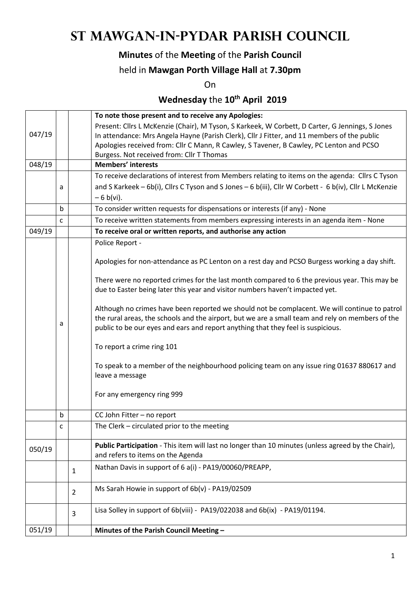## **St Mawgan-in-Pydar Parish Council**

### **Minutes** of the **Meeting** of the **Parish Council**

#### held in **Mawgan Porth Village Hall** at **7.30pm**

On

### **Wednesday** the **10th April 2019**

|        |                           |                | To note those present and to receive any Apologies:                                                    |  |
|--------|---------------------------|----------------|--------------------------------------------------------------------------------------------------------|--|
|        |                           |                | Present: Cllrs L McKenzie (Chair), M Tyson, S Karkeek, W Corbett, D Carter, G Jennings, S Jones        |  |
| 047/19 |                           |                | In attendance: Mrs Angela Hayne (Parish Clerk), Cllr J Fitter, and 11 members of the public            |  |
|        |                           |                | Apologies received from: Cllr C Mann, R Cawley, S Tavener, B Cawley, PC Lenton and PCSO                |  |
|        |                           |                | Burgess. Not received from: Cllr T Thomas                                                              |  |
| 048/19 | <b>Members' interests</b> |                |                                                                                                        |  |
|        |                           |                | To receive declarations of interest from Members relating to items on the agenda: Cllrs C Tyson        |  |
|        | a                         |                | and S Karkeek - 6b(i), Cllrs C Tyson and S Jones - 6 b(iii), Cllr W Corbett - 6 b(iv), Cllr L McKenzie |  |
|        |                           |                | $-6 b(vi)$ .                                                                                           |  |
|        | b                         |                | To consider written requests for dispensations or interests (if any) - None                            |  |
|        | C                         |                | To receive written statements from members expressing interests in an agenda item - None               |  |
| 049/19 |                           |                | To receive oral or written reports, and authorise any action                                           |  |
|        |                           |                | Police Report -                                                                                        |  |
|        |                           |                |                                                                                                        |  |
|        |                           |                | Apologies for non-attendance as PC Lenton on a rest day and PCSO Burgess working a day shift.          |  |
|        |                           |                | There were no reported crimes for the last month compared to 6 the previous year. This may be          |  |
|        |                           |                | due to Easter being later this year and visitor numbers haven't impacted yet.                          |  |
|        |                           |                |                                                                                                        |  |
|        |                           |                | Although no crimes have been reported we should not be complacent. We will continue to patrol          |  |
|        |                           |                | the rural areas, the schools and the airport, but we are a small team and rely on members of the       |  |
|        | а                         |                | public to be our eyes and ears and report anything that they feel is suspicious.                       |  |
|        |                           |                | To report a crime ring 101                                                                             |  |
|        |                           |                |                                                                                                        |  |
|        |                           |                | To speak to a member of the neighbourhood policing team on any issue ring 01637 880617 and             |  |
|        |                           |                | leave a message                                                                                        |  |
|        |                           |                |                                                                                                        |  |
|        |                           |                | For any emergency ring 999                                                                             |  |
|        | b                         |                | CC John Fitter - no report                                                                             |  |
|        | C                         |                | The Clerk - circulated prior to the meeting                                                            |  |
|        |                           |                |                                                                                                        |  |
| 050/19 |                           |                | Public Participation - This item will last no longer than 10 minutes (unless agreed by the Chair),     |  |
|        |                           |                | and refers to items on the Agenda                                                                      |  |
|        |                           | $\mathbf{1}$   | Nathan Davis in support of 6 a(i) - PA19/00060/PREAPP,                                                 |  |
|        |                           |                |                                                                                                        |  |
|        |                           | $\overline{2}$ | Ms Sarah Howie in support of 6b(v) - PA19/02509                                                        |  |
|        |                           | 3              | Lisa Solley in support of 6b(viii) - PA19/022038 and 6b(ix) - PA19/01194.                              |  |
|        |                           |                |                                                                                                        |  |
| 051/19 |                           |                | Minutes of the Parish Council Meeting -                                                                |  |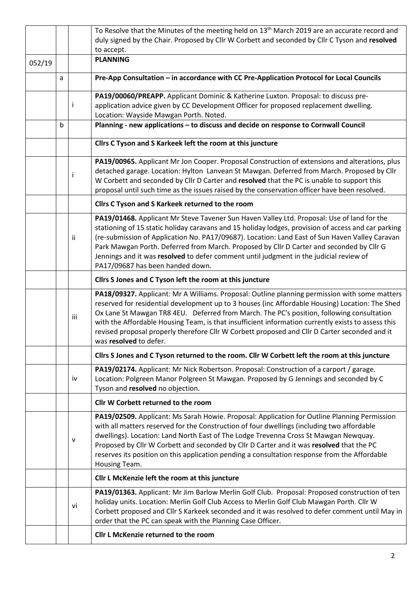|        |                                                                                                |              | To Resolve that the Minutes of the meeting held on 13 <sup>th</sup> March 2019 are an accurate record and               |  |  |  |  |
|--------|------------------------------------------------------------------------------------------------|--------------|-------------------------------------------------------------------------------------------------------------------------|--|--|--|--|
|        |                                                                                                |              | duly signed by the Chair. Proposed by Cllr W Corbett and seconded by Cllr C Tyson and resolved                          |  |  |  |  |
|        |                                                                                                |              | to accept.                                                                                                              |  |  |  |  |
| 052/19 |                                                                                                |              | <b>PLANNING</b>                                                                                                         |  |  |  |  |
|        | a                                                                                              |              | Pre-App Consultation - in accordance with CC Pre-Application Protocol for Local Councils                                |  |  |  |  |
|        |                                                                                                |              | PA19/00060/PREAPP. Applicant Dominic & Katherine Luxton. Proposal: to discuss pre-                                      |  |  |  |  |
|        |                                                                                                | Ť            | application advice given by CC Development Officer for proposed replacement dwelling.                                   |  |  |  |  |
|        |                                                                                                |              | Location: Wayside Mawgan Porth. Noted.                                                                                  |  |  |  |  |
|        | b                                                                                              |              | Planning - new applications - to discuss and decide on response to Cornwall Council                                     |  |  |  |  |
|        |                                                                                                |              | Cllrs C Tyson and S Karkeek left the room at this juncture                                                              |  |  |  |  |
|        | PA19/00965. Applicant Mr Jon Cooper. Proposal Construction of extensions and alterations, plus |              |                                                                                                                         |  |  |  |  |
|        |                                                                                                | ÷            | detached garage. Location: Hylton Lanvean St Mawgan. Deferred from March. Proposed by Cllr                              |  |  |  |  |
|        |                                                                                                |              | W Corbett and seconded by Cllr D Carter and resolved that the PC is unable to support this                              |  |  |  |  |
|        | proposal until such time as the issues raised by the conservation officer have been resolved.  |              |                                                                                                                         |  |  |  |  |
|        |                                                                                                |              | Cllrs C Tyson and S Karkeek returned to the room                                                                        |  |  |  |  |
|        |                                                                                                |              | PA19/01468. Applicant Mr Steve Tavener Sun Haven Valley Ltd. Proposal: Use of land for the                              |  |  |  |  |
|        |                                                                                                |              | stationing of 15 static holiday caravans and 15 holiday lodges, provision of access and car parking                     |  |  |  |  |
|        |                                                                                                | ii           | (re-submission of Application No. PA17/09687). Location: Land East of Sun Haven Valley Caravan                          |  |  |  |  |
|        |                                                                                                |              | Park Mawgan Porth. Deferred from March. Proposed by Cllr D Carter and seconded by Cllr G                                |  |  |  |  |
|        |                                                                                                |              | Jennings and it was resolved to defer comment until judgment in the judicial review of                                  |  |  |  |  |
|        |                                                                                                |              | PA17/09687 has been handed down.                                                                                        |  |  |  |  |
|        |                                                                                                |              | Cllrs S Jones and C Tyson left the room at this juncture                                                                |  |  |  |  |
|        |                                                                                                |              | PA18/09327. Applicant: Mr A Williams. Proposal: Outline planning permission with some matters                           |  |  |  |  |
|        |                                                                                                |              | reserved for residential development up to 3 houses (inc Affordable Housing) Location: The Shed                         |  |  |  |  |
|        |                                                                                                | iii          | Ox Lane St Mawgan TR8 4EU. Deferred from March. The PC's position, following consultation                               |  |  |  |  |
|        |                                                                                                |              | with the Affordable Housing Team, is that insufficient information currently exists to assess this                      |  |  |  |  |
|        |                                                                                                |              | revised proposal properly therefore Cllr W Corbett proposed and Cllr D Carter seconded and it<br>was resolved to defer. |  |  |  |  |
|        | Cllrs S Jones and C Tyson returned to the room. Cllr W Corbett left the room at this juncture  |              |                                                                                                                         |  |  |  |  |
|        |                                                                                                |              | PA19/02174. Applicant: Mr Nick Robertson. Proposal: Construction of a carport / garage.                                 |  |  |  |  |
|        |                                                                                                | iv           | Location: Polgreen Manor Polgreen St Mawgan. Proposed by G Jennings and seconded by C                                   |  |  |  |  |
|        | Tyson and resolved no objection.                                                               |              |                                                                                                                         |  |  |  |  |
|        |                                                                                                |              | Cllr W Corbett returned to the room                                                                                     |  |  |  |  |
|        |                                                                                                |              | PA19/02509. Applicant: Ms Sarah Howie. Proposal: Application for Outline Planning Permission                            |  |  |  |  |
|        |                                                                                                |              | with all matters reserved for the Construction of four dwellings (including two affordable                              |  |  |  |  |
|        |                                                                                                | $\mathsf{v}$ | dwellings). Location: Land North East of The Lodge Trevenna Cross St Mawgan Newquay.                                    |  |  |  |  |
|        |                                                                                                |              | Proposed by Cllr W Corbett and seconded by Cllr D Carter and it was resolved that the PC                                |  |  |  |  |
|        |                                                                                                |              | reserves its position on this application pending a consultation response from the Affordable<br>Housing Team.          |  |  |  |  |
|        |                                                                                                |              | Cllr L McKenzie left the room at this juncture                                                                          |  |  |  |  |
|        |                                                                                                |              | PA19/01363. Applicant: Mr Jim Barlow Merlin Golf Club. Proposal: Proposed construction of ten                           |  |  |  |  |
|        |                                                                                                | vi           | holiday units. Location: Merlin Golf Club Access to Merlin Golf Club Mawgan Porth. Cllr W                               |  |  |  |  |
|        |                                                                                                |              | Corbett proposed and Cllr S Karkeek seconded and it was resolved to defer comment until May in                          |  |  |  |  |
|        |                                                                                                |              | order that the PC can speak with the Planning Case Officer.                                                             |  |  |  |  |
|        |                                                                                                |              | Cllr L McKenzie returned to the room                                                                                    |  |  |  |  |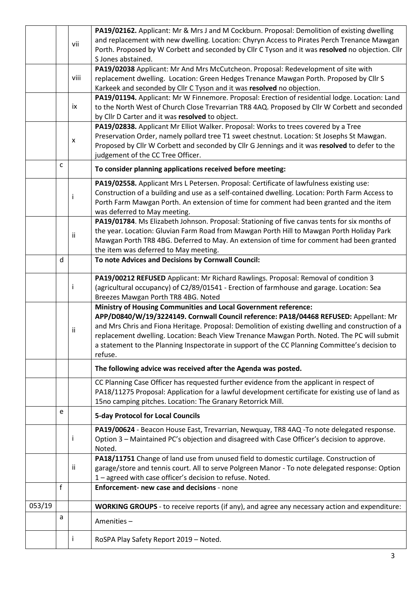|        |              |                    | PA19/02162. Applicant: Mr & Mrs J and M Cockburn. Proposal: Demolition of existing dwelling          |  |  |  |  |  |
|--------|--------------|--------------------|------------------------------------------------------------------------------------------------------|--|--|--|--|--|
|        |              | vii                | and replacement with new dwelling. Location: Chyryn Access to Pirates Perch Trenance Mawgan          |  |  |  |  |  |
|        |              |                    | Porth. Proposed by W Corbett and seconded by Cllr C Tyson and it was resolved no objection. Cllr     |  |  |  |  |  |
|        |              |                    | S Jones abstained.                                                                                   |  |  |  |  |  |
|        |              |                    | PA19/02038 Applicant: Mr And Mrs McCutcheon. Proposal: Redevelopment of site with                    |  |  |  |  |  |
|        |              | viii               | replacement dwelling. Location: Green Hedges Trenance Mawgan Porth. Proposed by Cllr S               |  |  |  |  |  |
|        |              |                    | Karkeek and seconded by Cllr C Tyson and it was resolved no objection.                               |  |  |  |  |  |
|        |              |                    | PA19/01194. Applicant: Mr W Finnemore. Proposal: Erection of residential lodge. Location: Land       |  |  |  |  |  |
|        |              | ix                 | to the North West of Church Close Trevarrian TR8 4AQ. Proposed by Cllr W Corbett and seconded        |  |  |  |  |  |
|        |              |                    | by Cllr D Carter and it was resolved to object.                                                      |  |  |  |  |  |
|        |              |                    | PA19/02838. Applicant Mr Elliot Walker. Proposal: Works to trees covered by a Tree                   |  |  |  |  |  |
|        |              | $\pmb{\mathsf{X}}$ | Preservation Order, namely pollard tree T1 sweet chestnut. Location: St Josephs St Mawgan.           |  |  |  |  |  |
|        |              |                    | Proposed by Cllr W Corbett and seconded by Cllr G Jennings and it was resolved to defer to the       |  |  |  |  |  |
|        |              |                    | judgement of the CC Tree Officer.                                                                    |  |  |  |  |  |
|        | $\mathsf{C}$ |                    | To consider planning applications received before meeting:                                           |  |  |  |  |  |
|        |              |                    | PA19/02558. Applicant Mrs L Petersen. Proposal: Certificate of lawfulness existing use:              |  |  |  |  |  |
|        |              | i                  | Construction of a building and use as a self-contained dwelling. Location: Porth Farm Access to      |  |  |  |  |  |
|        |              |                    | Porth Farm Mawgan Porth. An extension of time for comment had been granted and the item              |  |  |  |  |  |
|        |              |                    | was deferred to May meeting.                                                                         |  |  |  |  |  |
|        |              |                    | PA19/01784. Ms Elizabeth Johnson. Proposal: Stationing of five canvas tents for six months of        |  |  |  |  |  |
|        |              | ii                 | the year. Location: Gluvian Farm Road from Mawgan Porth Hill to Mawgan Porth Holiday Park            |  |  |  |  |  |
|        |              |                    | Mawgan Porth TR8 4BG. Deferred to May. An extension of time for comment had been granted             |  |  |  |  |  |
|        |              |                    | the item was deferred to May meeting.                                                                |  |  |  |  |  |
|        | d            |                    | To note Advices and Decisions by Cornwall Council:                                                   |  |  |  |  |  |
|        |              |                    | PA19/00212 REFUSED Applicant: Mr Richard Rawlings. Proposal: Removal of condition 3                  |  |  |  |  |  |
|        |              | i                  | (agricultural occupancy) of C2/89/01541 - Erection of farmhouse and garage. Location: Sea            |  |  |  |  |  |
|        |              |                    | Breezes Mawgan Porth TR8 4BG. Noted                                                                  |  |  |  |  |  |
|        |              |                    | <b>Ministry of Housing Communities and Local Government reference:</b>                               |  |  |  |  |  |
|        |              |                    | APP/D0840/W/19/3224149. Cornwall Council reference: PA18/04468 REFUSED: Appellant: Mr                |  |  |  |  |  |
|        |              | ii                 | and Mrs Chris and Fiona Heritage. Proposal: Demolition of existing dwelling and construction of a    |  |  |  |  |  |
|        |              |                    | replacement dwelling. Location: Beach View Trenance Mawgan Porth. Noted. The PC will submit          |  |  |  |  |  |
|        |              |                    | a statement to the Planning Inspectorate in support of the CC Planning Committee's decision to       |  |  |  |  |  |
|        |              |                    | refuse.                                                                                              |  |  |  |  |  |
|        |              |                    | The following advice was received after the Agenda was posted.                                       |  |  |  |  |  |
|        |              |                    | CC Planning Case Officer has requested further evidence from the applicant in respect of             |  |  |  |  |  |
|        |              |                    | PA18/11275 Proposal: Application for a lawful development certificate for existing use of land as    |  |  |  |  |  |
|        |              |                    | 15no camping pitches. Location: The Granary Retorrick Mill.                                          |  |  |  |  |  |
|        | e            |                    | <b>5-day Protocol for Local Councils</b>                                                             |  |  |  |  |  |
|        |              |                    | PA19/00624 - Beacon House East, Trevarrian, Newquay, TR8 4AQ -To note delegated response.            |  |  |  |  |  |
|        |              | Ť                  | Option 3 - Maintained PC's objection and disagreed with Case Officer's decision to approve.          |  |  |  |  |  |
|        |              |                    | Noted.                                                                                               |  |  |  |  |  |
|        |              |                    | PA18/11751 Change of land use from unused field to domestic curtilage. Construction of               |  |  |  |  |  |
|        |              | ii                 | garage/store and tennis court. All to serve Polgreen Manor - To note delegated response: Option      |  |  |  |  |  |
|        |              |                    | 1 - agreed with case officer's decision to refuse. Noted.                                            |  |  |  |  |  |
|        | f            |                    | Enforcement- new case and decisions - none                                                           |  |  |  |  |  |
| 053/19 |              |                    | <b>WORKING GROUPS</b> - to receive reports (if any), and agree any necessary action and expenditure: |  |  |  |  |  |
|        | a            |                    | Amenities-                                                                                           |  |  |  |  |  |
|        |              |                    |                                                                                                      |  |  |  |  |  |
|        |              |                    | RoSPA Play Safety Report 2019 - Noted.                                                               |  |  |  |  |  |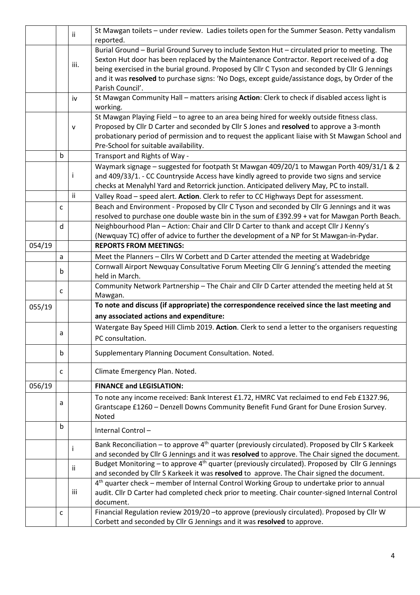|                                         |                                    | Ϊİ           | St Mawgan toilets - under review. Ladies toilets open for the Summer Season. Petty vandalism<br>reported.                                                                                                                                                                                                                                                                                                                                                                                                                       |  |  |  |  |  |
|-----------------------------------------|------------------------------------|--------------|---------------------------------------------------------------------------------------------------------------------------------------------------------------------------------------------------------------------------------------------------------------------------------------------------------------------------------------------------------------------------------------------------------------------------------------------------------------------------------------------------------------------------------|--|--|--|--|--|
|                                         |                                    | iii.         | Burial Ground - Burial Ground Survey to include Sexton Hut - circulated prior to meeting. The<br>Sexton Hut door has been replaced by the Maintenance Contractor. Report received of a dog<br>being exercised in the burial ground. Proposed by Cllr C Tyson and seconded by Cllr G Jennings<br>and it was resolved to purchase signs: 'No Dogs, except guide/assistance dogs, by Order of the<br>Parish Council'.<br>St Mawgan Community Hall - matters arising Action: Clerk to check if disabled access light is<br>working. |  |  |  |  |  |
|                                         |                                    | iv           |                                                                                                                                                                                                                                                                                                                                                                                                                                                                                                                                 |  |  |  |  |  |
|                                         |                                    | $\mathsf{v}$ | St Mawgan Playing Field - to agree to an area being hired for weekly outside fitness class.<br>Proposed by Cllr D Carter and seconded by Cllr S Jones and resolved to approve a 3-month<br>probationary period of permission and to request the applicant liaise with St Mawgan School and<br>Pre-School for suitable availability.                                                                                                                                                                                             |  |  |  |  |  |
|                                         | b<br>Transport and Rights of Way - |              |                                                                                                                                                                                                                                                                                                                                                                                                                                                                                                                                 |  |  |  |  |  |
|                                         |                                    | j.           | Waymark signage - suggested for footpath St Mawgan 409/20/1 to Mawgan Porth 409/31/1 & 2<br>and 409/33/1. - CC Countryside Access have kindly agreed to provide two signs and service<br>checks at Menalyhl Yard and Retorrick junction. Anticipated delivery May, PC to install.                                                                                                                                                                                                                                               |  |  |  |  |  |
|                                         |                                    | ii           | Valley Road - speed alert. Action. Clerk to refer to CC Highways Dept for assessment.                                                                                                                                                                                                                                                                                                                                                                                                                                           |  |  |  |  |  |
|                                         | $\mathsf{C}$                       |              | Beach and Environment - Proposed by Cllr C Tyson and seconded by Cllr G Jennings and it was<br>resolved to purchase one double waste bin in the sum of £392.99 + vat for Mawgan Porth Beach.                                                                                                                                                                                                                                                                                                                                    |  |  |  |  |  |
|                                         | $\mathsf{d}$                       |              | Neighbourhood Plan - Action: Chair and Cllr D Carter to thank and accept Cllr J Kenny's<br>(Newquay TC) offer of advice to further the development of a NP for St Mawgan-in-Pydar.                                                                                                                                                                                                                                                                                                                                              |  |  |  |  |  |
| 054/19<br><b>REPORTS FROM MEETINGS:</b> |                                    |              |                                                                                                                                                                                                                                                                                                                                                                                                                                                                                                                                 |  |  |  |  |  |
|                                         | a                                  |              | Meet the Planners - Cllrs W Corbett and D Carter attended the meeting at Wadebridge                                                                                                                                                                                                                                                                                                                                                                                                                                             |  |  |  |  |  |
|                                         | b                                  |              | Cornwall Airport Newquay Consultative Forum Meeting Cllr G Jenning's attended the meeting<br>held in March.                                                                                                                                                                                                                                                                                                                                                                                                                     |  |  |  |  |  |
|                                         | $\mathsf{C}$                       |              | Community Network Partnership - The Chair and Cllr D Carter attended the meeting held at St<br>Mawgan.                                                                                                                                                                                                                                                                                                                                                                                                                          |  |  |  |  |  |
| 055/19                                  |                                    |              | To note and discuss (if appropriate) the correspondence received since the last meeting and                                                                                                                                                                                                                                                                                                                                                                                                                                     |  |  |  |  |  |
|                                         |                                    |              | any associated actions and expenditure:                                                                                                                                                                                                                                                                                                                                                                                                                                                                                         |  |  |  |  |  |
|                                         | a                                  |              | Watergate Bay Speed Hill Climb 2019. Action. Clerk to send a letter to the organisers requesting<br>PC consultation.                                                                                                                                                                                                                                                                                                                                                                                                            |  |  |  |  |  |
|                                         | b                                  |              | Supplementary Planning Document Consultation. Noted.                                                                                                                                                                                                                                                                                                                                                                                                                                                                            |  |  |  |  |  |
|                                         | c                                  |              | Climate Emergency Plan. Noted.                                                                                                                                                                                                                                                                                                                                                                                                                                                                                                  |  |  |  |  |  |
| 056/19                                  |                                    |              | <b>FINANCE and LEGISLATION:</b>                                                                                                                                                                                                                                                                                                                                                                                                                                                                                                 |  |  |  |  |  |
|                                         | a                                  |              | To note any income received: Bank Interest £1.72, HMRC Vat reclaimed to end Feb £1327.96,<br>Grantscape £1260 - Denzell Downs Community Benefit Fund Grant for Dune Erosion Survey.<br>Noted                                                                                                                                                                                                                                                                                                                                    |  |  |  |  |  |
|                                         | b                                  |              | Internal Control-                                                                                                                                                                                                                                                                                                                                                                                                                                                                                                               |  |  |  |  |  |
|                                         |                                    | i            | Bank Reconciliation – to approve 4 <sup>th</sup> quarter (previously circulated). Proposed by Cllr S Karkeek<br>and seconded by Cllr G Jennings and it was resolved to approve. The Chair signed the document.                                                                                                                                                                                                                                                                                                                  |  |  |  |  |  |
|                                         |                                    | Ϊİ           | Budget Monitoring - to approve 4 <sup>th</sup> quarter (previously circulated). Proposed by Cllr G Jennings<br>and seconded by Cllr S Karkeek it was resolved to approve. The Chair signed the document.                                                                                                                                                                                                                                                                                                                        |  |  |  |  |  |
|                                         |                                    |              | 4 <sup>th</sup> quarter check - member of Internal Control Working Group to undertake prior to annual                                                                                                                                                                                                                                                                                                                                                                                                                           |  |  |  |  |  |
|                                         |                                    | iii          | audit. Cllr D Carter had completed check prior to meeting. Chair counter-signed Internal Control<br>document.                                                                                                                                                                                                                                                                                                                                                                                                                   |  |  |  |  |  |
|                                         | c                                  |              | Financial Regulation review 2019/20 - to approve (previously circulated). Proposed by Cllr W<br>Corbett and seconded by Cllr G Jennings and it was resolved to approve.                                                                                                                                                                                                                                                                                                                                                         |  |  |  |  |  |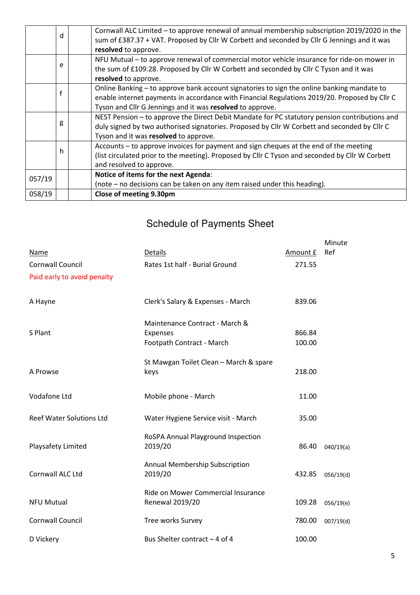|        | d | Cornwall ALC Limited - to approve renewal of annual membership subscription 2019/2020 in the<br>sum of £387.37 + VAT. Proposed by Cllr W Corbett and seconded by Cllr G Jennings and it was<br>resolved to approve.                                      |
|--------|---|----------------------------------------------------------------------------------------------------------------------------------------------------------------------------------------------------------------------------------------------------------|
|        | e | NFU Mutual – to approve renewal of commercial motor vehicle insurance for ride-on mower in<br>the sum of £109.28. Proposed by Cllr W Corbett and seconded by Cllr C Tyson and it was<br>resolved to approve.                                             |
|        | f | Online Banking - to approve bank account signatories to sign the online banking mandate to<br>enable internet payments in accordance with Financial Regulations 2019/20. Proposed by Cllr C<br>Tyson and Cllr G Jennings and it was resolved to approve. |
|        | g | NEST Pension – to approve the Direct Debit Mandate for PC statutory pension contributions and<br>duly signed by two authorised signatories. Proposed by Cllr W Corbett and seconded by Cllr C<br>Tyson and it was resolved to approve.                   |
|        | h | Accounts - to approve invoices for payment and sign cheques at the end of the meeting<br>(list circulated prior to the meeting). Proposed by Cllr C Tyson and seconded by Cllr W Corbett<br>and resolved to approve.                                     |
| 057/19 |   | Notice of items for the next Agenda:<br>(note – no decisions can be taken on any item raised under this heading).                                                                                                                                        |
| 058/19 |   | Close of meeting 9.30pm                                                                                                                                                                                                                                  |

# Schedule of Payments Sheet

|                                 |                                                       |          | Minute    |
|---------------------------------|-------------------------------------------------------|----------|-----------|
| <b>Name</b>                     | <b>Details</b>                                        | Amount £ | Ref       |
| <b>Cornwall Council</b>         | Rates 1st half - Burial Ground                        | 271.55   |           |
| Paid early to avoid penalty     |                                                       |          |           |
| A Hayne                         | Clerk's Salary & Expenses - March                     | 839.06   |           |
| S Plant                         | Maintenance Contract - March &<br>Expenses            | 866.84   |           |
|                                 | Footpath Contract - March                             | 100.00   |           |
| A Prowse                        | St Mawgan Toilet Clean - March & spare<br>keys        | 218.00   |           |
| Vodafone Ltd                    | Mobile phone - March                                  | 11.00    |           |
| <b>Reef Water Solutions Ltd</b> | Water Hygiene Service visit - March                   | 35.00    |           |
| Playsafety Limited              | RoSPA Annual Playground Inspection<br>2019/20         | 86.40    | 040/19(a) |
| Cornwall ALC Ltd                | Annual Membership Subscription<br>2019/20             | 432.85   | 056/19(d) |
| <b>NFU Mutual</b>               | Ride on Mower Commercial Insurance<br>Renewal 2019/20 | 109.28   | 056/19(e) |
| <b>Cornwall Council</b>         | Tree works Survey                                     | 780.00   | 007/19(d) |
| D Vickery                       | Bus Shelter contract - 4 of 4                         | 100.00   |           |